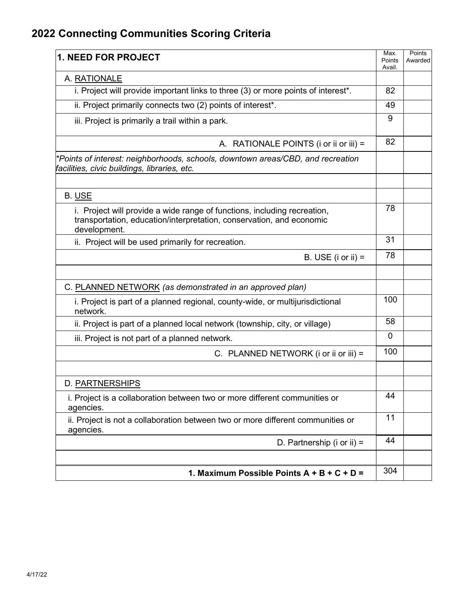## **2022 Connecting Communities Scoring Criteria**

| <b>1. NEED FOR PROJECT</b>                                                                                                                                       | Max.<br>Points<br>Avail. | Points<br>Awarded |
|------------------------------------------------------------------------------------------------------------------------------------------------------------------|--------------------------|-------------------|
| A. RATIONALE                                                                                                                                                     |                          |                   |
| i. Project will provide important links to three (3) or more points of interest*.                                                                                | 82                       |                   |
| ii. Project primarily connects two (2) points of interest*.                                                                                                      | 49                       |                   |
| iii. Project is primarily a trail within a park.                                                                                                                 | 9                        |                   |
| A. RATIONALE POINTS (i or ii or iii) =                                                                                                                           | 82                       |                   |
| *Points of interest: neighborhoods, schools, downtown areas/CBD, and recreation<br>facilities, civic buildings, libraries, etc.                                  |                          |                   |
| B. USE                                                                                                                                                           |                          |                   |
| i. Project will provide a wide range of functions, including recreation,<br>transportation, education/interpretation, conservation, and economic<br>development. | 78                       |                   |
| ii. Project will be used primarily for recreation.                                                                                                               | 31                       |                   |
| B. USE ( $i$ or $ii$ ) =                                                                                                                                         | 78                       |                   |
|                                                                                                                                                                  |                          |                   |
| C. PLANNED NETWORK (as demonstrated in an approved plan)                                                                                                         |                          |                   |
| i. Project is part of a planned regional, county-wide, or multijurisdictional<br>network.                                                                        | 100                      |                   |
| ii. Project is part of a planned local network (township, city, or village)                                                                                      | 58                       |                   |
| iii. Project is not part of a planned network.                                                                                                                   | $\Omega$                 |                   |
| C. PLANNED NETWORK (i or ii or iii) =                                                                                                                            | 100                      |                   |
| D. PARTNERSHIPS                                                                                                                                                  |                          |                   |
| i. Project is a collaboration between two or more different communities or<br>agencies.                                                                          | 44                       |                   |
| ii. Project is not a collaboration between two or more different communities or<br>agencies.                                                                     | 11                       |                   |
| D. Partnership (i or ii) =                                                                                                                                       | 44                       |                   |
|                                                                                                                                                                  |                          |                   |
| 1. Maximum Possible Points $A + B + C + D =$                                                                                                                     | 304                      |                   |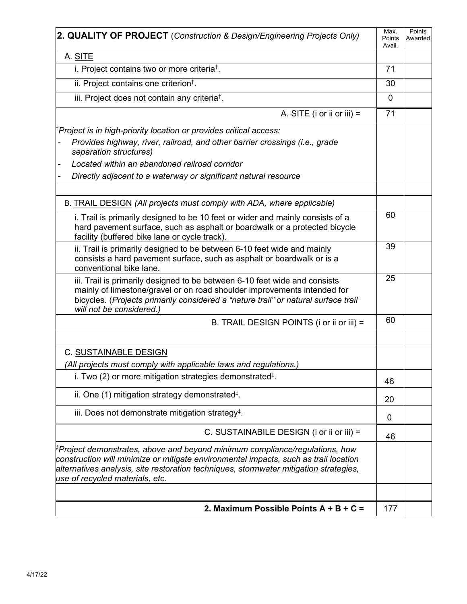| 2. QUALITY OF PROJECT (Construction & Design/Engineering Projects Only)                                                                                                                                                                                                                                     |              |  |  |
|-------------------------------------------------------------------------------------------------------------------------------------------------------------------------------------------------------------------------------------------------------------------------------------------------------------|--------------|--|--|
| A. SITE                                                                                                                                                                                                                                                                                                     |              |  |  |
| i. Project contains two or more criteria <sup>t</sup> .                                                                                                                                                                                                                                                     | 71           |  |  |
| ii. Project contains one criterion <sup>t</sup> .                                                                                                                                                                                                                                                           | 30           |  |  |
| iii. Project does not contain any criteria <sup>†</sup> .                                                                                                                                                                                                                                                   | $\mathbf{0}$ |  |  |
| A. SITE (i or ii or iii) =                                                                                                                                                                                                                                                                                  | 71           |  |  |
| Project is in high-priority location or provides critical access:                                                                                                                                                                                                                                           |              |  |  |
| Provides highway, river, railroad, and other barrier crossings (i.e., grade<br>separation structures)                                                                                                                                                                                                       |              |  |  |
| Located within an abandoned railroad corridor                                                                                                                                                                                                                                                               |              |  |  |
| Directly adjacent to a waterway or significant natural resource                                                                                                                                                                                                                                             |              |  |  |
|                                                                                                                                                                                                                                                                                                             |              |  |  |
| B. TRAIL DESIGN (All projects must comply with ADA, where applicable)                                                                                                                                                                                                                                       |              |  |  |
| i. Trail is primarily designed to be 10 feet or wider and mainly consists of a<br>hard pavement surface, such as asphalt or boardwalk or a protected bicycle<br>facility (buffered bike lane or cycle track).                                                                                               | 60           |  |  |
| ii. Trail is primarily designed to be between 6-10 feet wide and mainly<br>consists a hard pavement surface, such as asphalt or boardwalk or is a<br>conventional bike lane.                                                                                                                                | 39           |  |  |
| iii. Trail is primarily designed to be between 6-10 feet wide and consists<br>mainly of limestone/gravel or on road shoulder improvements intended for<br>bicycles. (Projects primarily considered a "nature trail" or natural surface trail<br>will not be considered.)                                    | 25           |  |  |
| B. TRAIL DESIGN POINTS (i or ii or iii) =                                                                                                                                                                                                                                                                   | 60           |  |  |
|                                                                                                                                                                                                                                                                                                             |              |  |  |
| <b>C. SUSTAINABLE DESIGN</b>                                                                                                                                                                                                                                                                                |              |  |  |
| (All projects must comply with applicable laws and regulations.)                                                                                                                                                                                                                                            |              |  |  |
| i. Two (2) or more mitigation strategies demonstrated <sup>‡</sup> .                                                                                                                                                                                                                                        | 46           |  |  |
| ii. One $(1)$ mitigation strategy demonstrated <sup><math>\ddagger</math></sup> .                                                                                                                                                                                                                           | 20           |  |  |
| iii. Does not demonstrate mitigation strategy <sup>‡</sup> .                                                                                                                                                                                                                                                | 0            |  |  |
| C. SUSTAINABILE DESIGN (i or ii or iii) =                                                                                                                                                                                                                                                                   | 46           |  |  |
| <sup>‡</sup> Project demonstrates, above and beyond minimum compliance/regulations, how<br>construction will minimize or mitigate environmental impacts, such as trail location<br>alternatives analysis, site restoration techniques, stormwater mitigation strategies,<br>use of recycled materials, etc. |              |  |  |
|                                                                                                                                                                                                                                                                                                             |              |  |  |
| 2. Maximum Possible Points A + B + C =                                                                                                                                                                                                                                                                      | 177          |  |  |